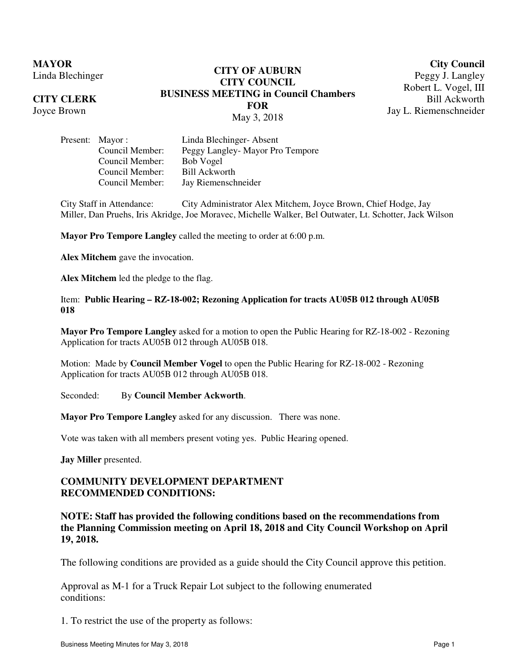**MAYOR** Linda Blechinger

# **CITY CLERK**

Joyce Brown

# **CITY OF AUBURN CITY COUNCIL BUSINESS MEETING in Council Chambers FOR**  May 3, 2018

**City Council** Peggy J. Langley Robert L. Vogel, III Bill Ackworth Jay L. Riemenschneider

| Present: Mayor : | Linda Blechinger-Absent         |
|------------------|---------------------------------|
| Council Member:  | Peggy Langley Mayor Pro Tempore |
| Council Member:  | Bob Vogel                       |
| Council Member:  | Bill Ackworth                   |
| Council Member:  | Jay Riemenschneider             |

City Staff in Attendance: City Administrator Alex Mitchem, Joyce Brown, Chief Hodge, Jay Miller, Dan Pruehs, Iris Akridge, Joe Moravec, Michelle Walker, Bel Outwater, Lt. Schotter, Jack Wilson

**Mayor Pro Tempore Langley** called the meeting to order at 6:00 p.m.

**Alex Mitchem** gave the invocation.

**Alex Mitchem** led the pledge to the flag.

#### Item: **Public Hearing – RZ-18-002; Rezoning Application for tracts AU05B 012 through AU05B 018**

**Mayor Pro Tempore Langley** asked for a motion to open the Public Hearing for RZ-18-002 - Rezoning Application for tracts AU05B 012 through AU05B 018.

Motion: Made by **Council Member Vogel** to open the Public Hearing for RZ-18-002 - Rezoning Application for tracts AU05B 012 through AU05B 018.

Seconded: By **Council Member Ackworth**.

**Mayor Pro Tempore Langley** asked for any discussion. There was none.

Vote was taken with all members present voting yes. Public Hearing opened.

**Jay Miller** presented.

### **COMMUNITY DEVELOPMENT DEPARTMENT RECOMMENDED CONDITIONS:**

**NOTE: Staff has provided the following conditions based on the recommendations from the Planning Commission meeting on April 18, 2018 and City Council Workshop on April 19, 2018.** 

The following conditions are provided as a guide should the City Council approve this petition.

Approval as M-1 for a Truck Repair Lot subject to the following enumerated conditions:

1. To restrict the use of the property as follows: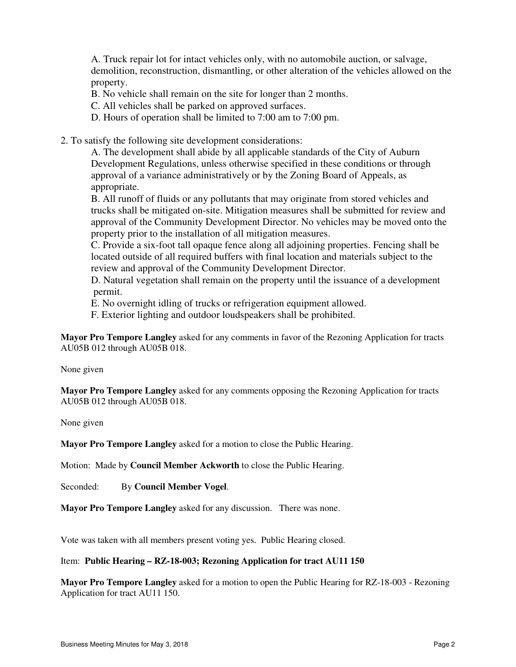A. Truck repair lot for intact vehicles only, with no automobile auction, or salvage, demolition, reconstruction, dismantling, or other alteration of the vehicles allowed on the property.

B. No vehicle shall remain on the site for longer than 2 months.

C. All vehicles shall be parked on approved surfaces.

D. Hours of operation shall be limited to 7:00 am to 7:00 pm.

2. To satisfy the following site development considerations:

A. The development shall abide by all applicable standards of the City of Auburn Development Regulations, unless otherwise specified in these conditions or through approval of a variance administratively or by the Zoning Board of Appeals, as appropriate.

B. All runoff of fluids or any pollutants that may originate from stored vehicles and trucks shall be mitigated on-site. Mitigation measures shall be submitted for review and approval of the Community Development Director. No vehicles may be moved onto the property prior to the installation of all mitigation measures.

C. Provide a six-foot tall opaque fence along all adjoining properties. Fencing shall be located outside of all required buffers with final location and materials subject to the review and approval of the Community Development Director.

D. Natural vegetation shall remain on the property until the issuance of a development permit.

E. No overnight idling of trucks or refrigeration equipment allowed.

F. Exterior lighting and outdoor loudspeakers shall be prohibited.

**Mayor Pro Tempore Langley** asked for any comments in favor of the Rezoning Application for tracts AU05B 012 through AU05B 018.

None given

**Mayor Pro Tempore Langley** asked for any comments opposing the Rezoning Application for tracts AU05B 012 through AU05B 018.

None given

**Mayor Pro Tempore Langley** asked for a motion to close the Public Hearing.

Motion: Made by **Council Member Ackworth** to close the Public Hearing.

Seconded: By **Council Member Vogel**.

**Mayor Pro Tempore Langley** asked for any discussion. There was none.

Vote was taken with all members present voting yes. Public Hearing closed.

### Item: **Public Hearing – RZ-18-003; Rezoning Application for tract AU11 150**

**Mayor Pro Tempore Langley** asked for a motion to open the Public Hearing for RZ-18-003 - Rezoning Application for tract AU11 150.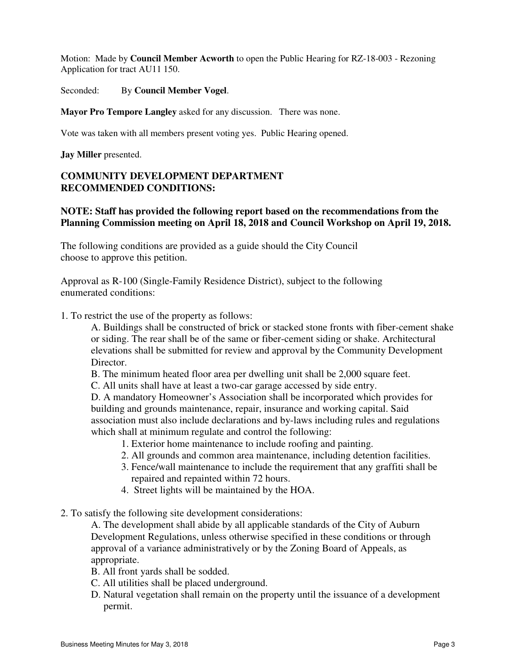Motion: Made by **Council Member Acworth** to open the Public Hearing for RZ-18-003 - Rezoning Application for tract AU11 150.

Seconded: By **Council Member Vogel**.

**Mayor Pro Tempore Langley** asked for any discussion. There was none.

Vote was taken with all members present voting yes. Public Hearing opened.

**Jay Miller** presented.

## **COMMUNITY DEVELOPMENT DEPARTMENT RECOMMENDED CONDITIONS:**

### **NOTE: Staff has provided the following report based on the recommendations from the Planning Commission meeting on April 18, 2018 and Council Workshop on April 19, 2018.**

The following conditions are provided as a guide should the City Council choose to approve this petition.

Approval as R-100 (Single-Family Residence District), subject to the following enumerated conditions:

1. To restrict the use of the property as follows:

A. Buildings shall be constructed of brick or stacked stone fronts with fiber-cement shake or siding. The rear shall be of the same or fiber-cement siding or shake. Architectural elevations shall be submitted for review and approval by the Community Development Director.

B. The minimum heated floor area per dwelling unit shall be 2,000 square feet.

C. All units shall have at least a two-car garage accessed by side entry.

D. A mandatory Homeowner's Association shall be incorporated which provides for building and grounds maintenance, repair, insurance and working capital. Said association must also include declarations and by-laws including rules and regulations which shall at minimum regulate and control the following:

- 1. Exterior home maintenance to include roofing and painting.
- 2. All grounds and common area maintenance, including detention facilities.
- 3. Fence/wall maintenance to include the requirement that any graffiti shall be repaired and repainted within 72 hours.
- 4. Street lights will be maintained by the HOA.
- 2. To satisfy the following site development considerations:

A. The development shall abide by all applicable standards of the City of Auburn Development Regulations, unless otherwise specified in these conditions or through approval of a variance administratively or by the Zoning Board of Appeals, as appropriate.

- B. All front yards shall be sodded.
- C. All utilities shall be placed underground.
- D. Natural vegetation shall remain on the property until the issuance of a development permit.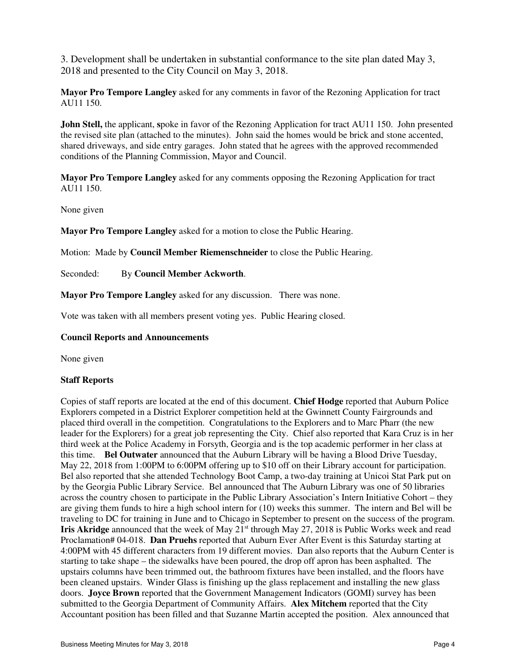3. Development shall be undertaken in substantial conformance to the site plan dated May 3, 2018 and presented to the City Council on May 3, 2018.

**Mayor Pro Tempore Langley** asked for any comments in favor of the Rezoning Application for tract AU11 150.

**John Stell,** the applicant, **s**poke in favor of the Rezoning Application for tract AU11 150. John presented the revised site plan (attached to the minutes). John said the homes would be brick and stone accented, shared driveways, and side entry garages. John stated that he agrees with the approved recommended conditions of the Planning Commission, Mayor and Council.

**Mayor Pro Tempore Langley** asked for any comments opposing the Rezoning Application for tract AU11 150.

None given

**Mayor Pro Tempore Langley** asked for a motion to close the Public Hearing.

Motion: Made by **Council Member Riemenschneider** to close the Public Hearing.

Seconded: By **Council Member Ackworth**.

**Mayor Pro Tempore Langley** asked for any discussion. There was none.

Vote was taken with all members present voting yes. Public Hearing closed.

#### **Council Reports and Announcements**

None given

#### **Staff Reports**

Copies of staff reports are located at the end of this document. **Chief Hodge** reported that Auburn Police Explorers competed in a District Explorer competition held at the Gwinnett County Fairgrounds and placed third overall in the competition. Congratulations to the Explorers and to Marc Pharr (the new leader for the Explorers) for a great job representing the City. Chief also reported that Kara Cruz is in her third week at the Police Academy in Forsyth, Georgia and is the top academic performer in her class at this time. **Bel Outwater** announced that the Auburn Library will be having a Blood Drive Tuesday, May 22, 2018 from 1:00PM to 6:00PM offering up to \$10 off on their Library account for participation. Bel also reported that she attended Technology Boot Camp, a two-day training at Unicoi Stat Park put on by the Georgia Public Library Service. Bel announced that The Auburn Library was one of 50 libraries across the country chosen to participate in the Public Library Association's Intern Initiative Cohort – they are giving them funds to hire a high school intern for (10) weeks this summer. The intern and Bel will be traveling to DC for training in June and to Chicago in September to present on the success of the program. **Iris Akridge** announced that the week of May 21<sup>st</sup> through May 27, 2018 is Public Works week and read Proclamation# 04-018. **Dan Pruehs** reported that Auburn Ever After Event is this Saturday starting at 4:00PM with 45 different characters from 19 different movies. Dan also reports that the Auburn Center is starting to take shape – the sidewalks have been poured, the drop off apron has been asphalted. The upstairs columns have been trimmed out, the bathroom fixtures have been installed, and the floors have been cleaned upstairs. Winder Glass is finishing up the glass replacement and installing the new glass doors. **Joyce Brown** reported that the Government Management Indicators (GOMI) survey has been submitted to the Georgia Department of Community Affairs. **Alex Mitchem** reported that the City Accountant position has been filled and that Suzanne Martin accepted the position. Alex announced that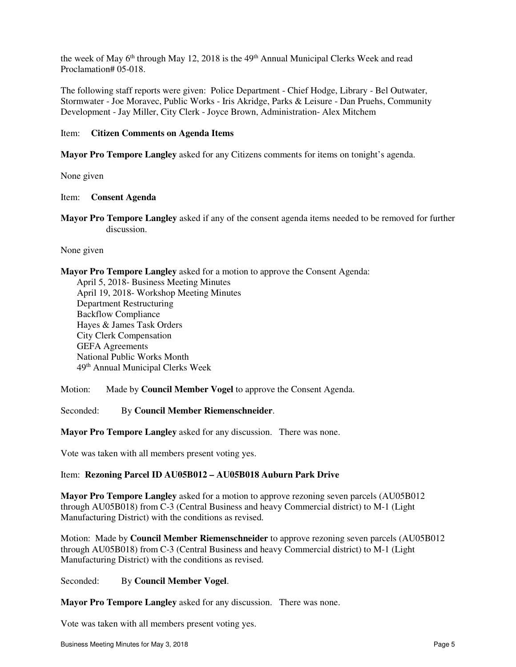the week of May 6<sup>th</sup> through May 12, 2018 is the 49<sup>th</sup> Annual Municipal Clerks Week and read Proclamation# 05-018.

The following staff reports were given: Police Department - Chief Hodge, Library - Bel Outwater, Stormwater - Joe Moravec, Public Works - Iris Akridge, Parks & Leisure - Dan Pruehs, Community Development - Jay Miller, City Clerk - Joyce Brown, Administration- Alex Mitchem

#### Item: **Citizen Comments on Agenda Items**

**Mayor Pro Tempore Langley** asked for any Citizens comments for items on tonight's agenda.

None given

Item: **Consent Agenda**

**Mayor Pro Tempore Langley** asked if any of the consent agenda items needed to be removed for further discussion.

None given

**Mayor Pro Tempore Langley** asked for a motion to approve the Consent Agenda:

 April 5, 2018- Business Meeting Minutes April 19, 2018- Workshop Meeting Minutes Department Restructuring Backflow Compliance Hayes & James Task Orders City Clerk Compensation GEFA Agreements National Public Works Month 49th Annual Municipal Clerks Week

Motion: Made by **Council Member Vogel** to approve the Consent Agenda.

Seconded: By **Council Member Riemenschneider**.

**Mayor Pro Tempore Langley** asked for any discussion. There was none.

Vote was taken with all members present voting yes.

### Item: **Rezoning Parcel ID AU05B012 – AU05B018 Auburn Park Drive**

**Mayor Pro Tempore Langley** asked for a motion to approve rezoning seven parcels (AU05B012 through AU05B018) from C-3 (Central Business and heavy Commercial district) to M-1 (Light Manufacturing District) with the conditions as revised.

Motion: Made by **Council Member Riemenschneider** to approve rezoning seven parcels (AU05B012 through AU05B018) from C-3 (Central Business and heavy Commercial district) to M-1 (Light Manufacturing District) with the conditions as revised.

Seconded: By **Council Member Vogel**.

**Mayor Pro Tempore Langley** asked for any discussion. There was none.

Vote was taken with all members present voting yes.